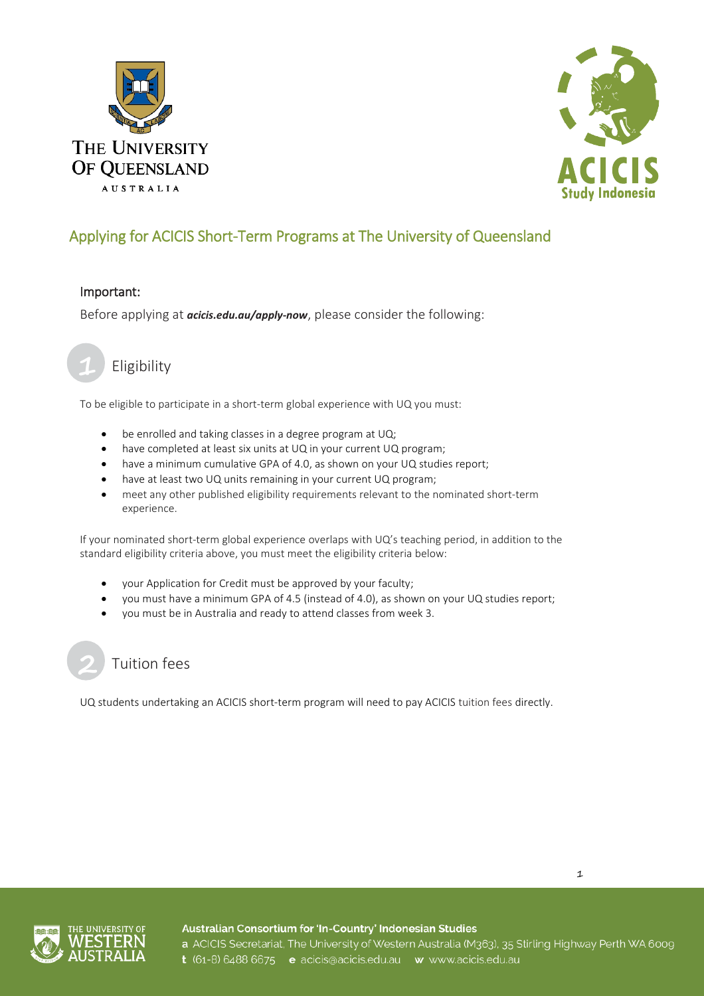



#### Important:

Before applying at *[acicis.edu.au/apply-now](http://acicis.edu.au/apply-now)*, please consider the following:



## Eligibility

To be eligible to participate in a short-term global experience with UQ you must:

- be enrolled and taking classes in a degree program at UQ;
- have completed at least six units at UQ in your current UQ program;
- have a minimum cumulative GPA of 4.0, as shown on your UQ studies report;
- have at least two UQ units remaining in your current UQ program;
- meet any other published eligibility requirements relevant to the nominated short-term experience.

If your nominated short-term global experience overlaps with UQ's teaching period, in addition to the standard eligibility criteria above, you must meet the eligibility criteria below:

- your Application for Credit must be approved by your faculty;
- you must have a minimum GPA of 4.5 (instead of 4.0), as shown on your UQ studies report;
- you must be in Australia and ready to attend classes from week 3.



UQ students undertaking an ACICIS short-term program will need to pay ACICIS tuition fees directly.





Australian Consortium for 'In-Country' Indonesian Studies a ACICIS Secretariat, The University of Western Australia (M363), 35 Stirling Highway Perth WA 6009 t (61-8) 6488 6675 e acicis@acicis.edu.au w www.acicis.edu.au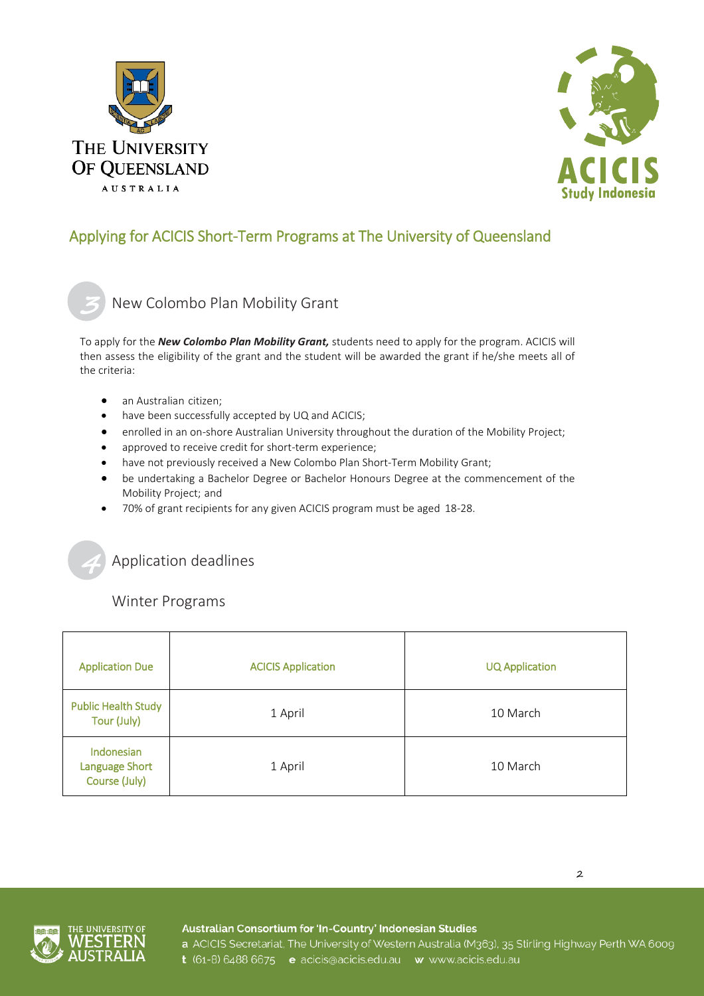



New Colombo Plan Mobility Grant

To apply for the *[New Colombo Plan Mobility Grant,](http://www.acicis.edu.au/study-in-indonesia/financial-help/)* students need to apply for the program. ACICIS will then assess the eligibility of the grant and the student will be awarded the grant if he/she meets all of the criteria:

- an Australian citizen;
- have been successfully accepted by UQ and ACICIS;
- enrolled in an on-shore Australian University throughout the duration of the Mobility Project;
- approved to receive credit for short-term experience;
- have not previously received a New Colombo Plan Short-Term Mobility Grant;
- be undertaking a Bachelor Degree or Bachelor Honours Degree at the commencement of the Mobility Project; and
- 70% of grant recipients for any given ACICIS program must be aged 18-28.

Application deadlines

Winter Programs

| <b>Application Due</b>                               | <b>ACICIS Application</b> | <b>UQ Application</b> |
|------------------------------------------------------|---------------------------|-----------------------|
| <b>Public Health Study</b><br>Tour (July)            | 1 April                   | 10 March              |
| Indonesian<br><b>Language Short</b><br>Course (July) | 1 April                   | 10 March              |



Australian Consortium for 'In-Country' Indonesian Studies

a ACICIS Secretariat, The University of Western Australia (M363), 35 Stirling Highway Perth WA 6009 t (61-8) 6488 6675 e acicis@acicis.edu.au w www.acicis.edu.au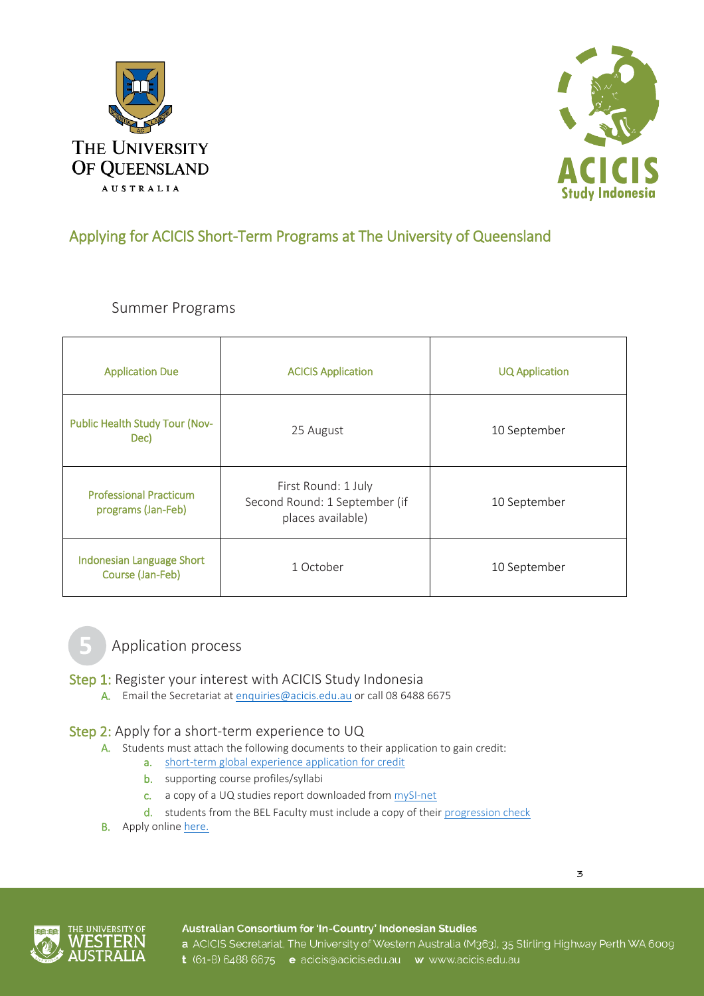



Summer Programs

| <b>Application Due</b>                              | <b>ACICIS Application</b>                                                 | <b>UQ Application</b> |
|-----------------------------------------------------|---------------------------------------------------------------------------|-----------------------|
| Public Health Study Tour (Nov-<br>Dec)              | 25 August                                                                 | 10 September          |
| <b>Professional Practicum</b><br>programs (Jan-Feb) | First Round: 1 July<br>Second Round: 1 September (if<br>places available) | 10 September          |
| Indonesian Language Short<br>Course (Jan-Feb)       | 1 October                                                                 | 10 September          |



Application process

- Step 1: Register your interest with ACICIS Study Indonesia
	- A. Email the Secretariat a[t enquiries@acicis.edu.au](mailto:enquiries@acicis.edu.au) or call 08 6488 6675

## Step 2: Apply for a short-term experience to UQ

- A. Students must attach the following documents to their application to gain credit:
	- a. [short-term global experience application for credit](https://employability.uq.edu.au/files/18948/STGE_AFC.pdf)
		- b. supporting course profiles/syllabi
		- c. a copy of a UQ studies report downloaded from [mySI-net](https://sinet.uq.edu.au/)
		- d. students from the BEL Faculty must include a copy of their [progression check](https://bel.uq.edu.au/progression-checks)
- **B.** Apply onlin[e here.](https://employability.uq.edu.au/get-experiences/global-experiences/short-term-experiences/apply-short-term-experience)

#### Australian Consortium for 'In-Country' Indonesian Studies

a ACICIS Secretariat, The University of Western Australia (M363), 35 Stirling Highway Perth WA 6009 t (61-8) 6488 6675 e acicis@acicis.edu.au w www.acicis.edu.au

3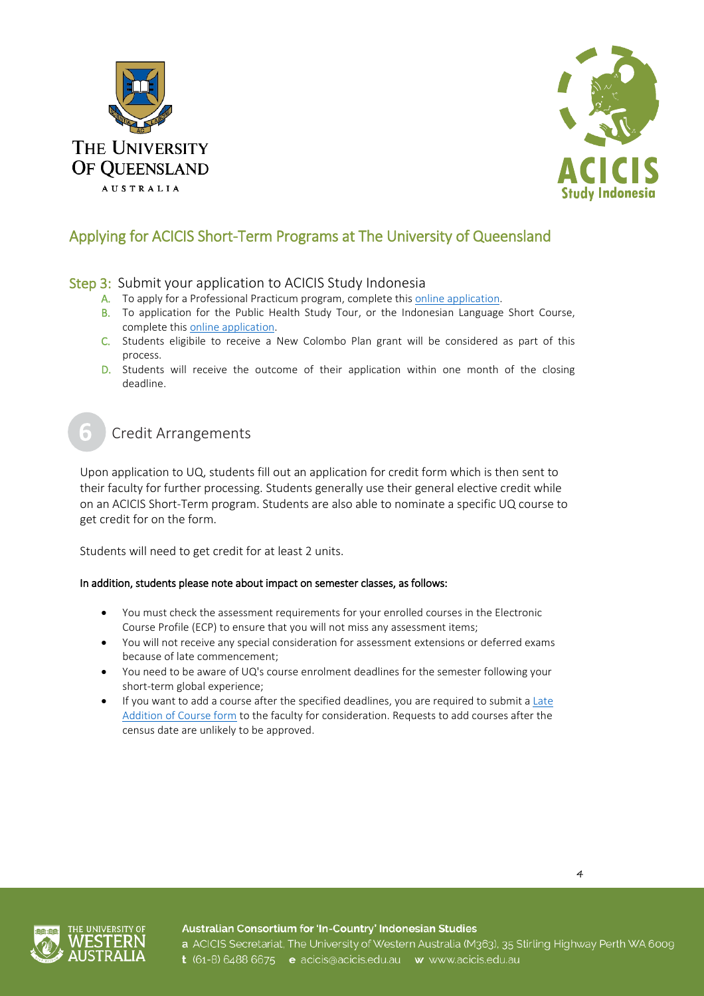



### Step 3: Submit your application to ACICIS Study Indonesia

- A. To apply for a Professional Practicum program, complete this [online application.](https://fs9.formsite.com/acicis/form41/form_login.html)
- B. To application for the Public Health Study Tour, or the Indonesian Language Short Course, complete thi[s online application.](https://fs9.formsite.com/acicis/form47/form_login.html)
- C. Students eligibile to receive a New Colombo Plan grant will be considered as part of this process.
- D. Students will receive the outcome of their application within one month of the closing deadline.

## Credit Arrangements

Upon application to UQ, students fill out an application for credit form which is then sent to their faculty for further processing. Students generally use their general elective credit while on an ACICIS Short-Term program. Students are also able to nominate a specific UQ course to get credit for on the form.

Students will need to get credit for at least 2 units.

#### In addition, students please note about impact on semester classes, as follows:

- You must check the assessment requirements for your enrolled courses in the Electronic Course Profile (ECP) to ensure that you will not miss any assessment items;
- You will not receive any special consideration for assessment extensions or deferred exams because of late commencement;
- You need to be aware of UQ's course enrolment deadlines for the semester following your short-term global experience;
- If you want to add a course after the specified deadlines, you are required to submit a Late [Addition of Course form](http://www.uq.edu.au/myadvisor/changing-courses) to the faculty for consideration. Requests to add courses after the census date are unlikely to be approved.





Australian Consortium for 'In-Country' Indonesian Studies a ACICIS Secretariat, The University of Western Australia (M363), 35 Stirling Highway Perth WA 6009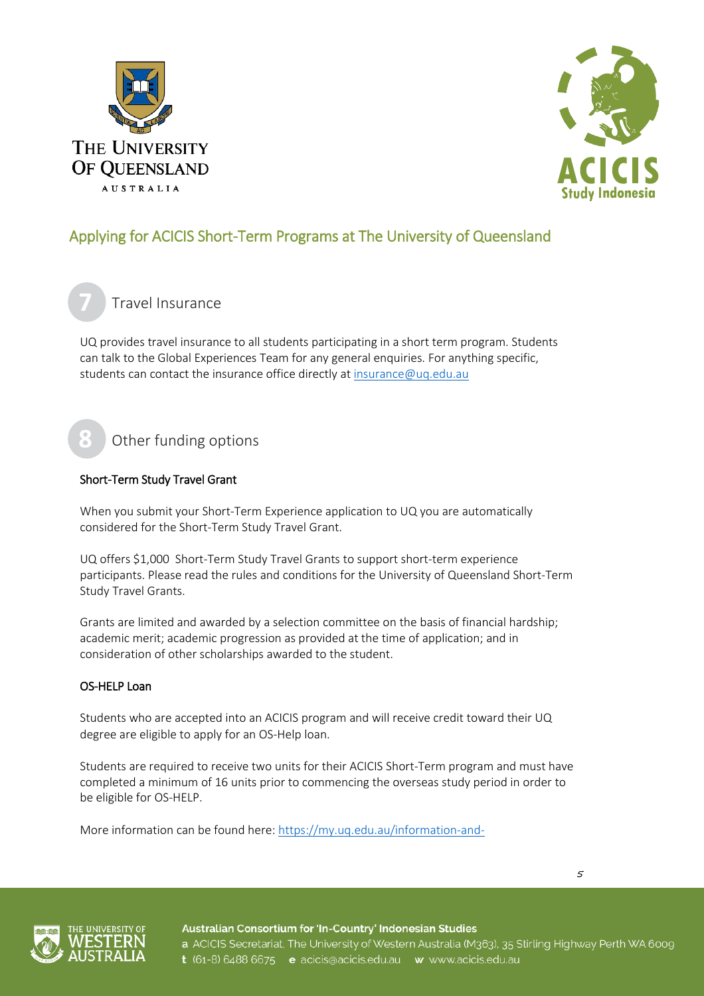



Travel Insurance

UQ provides travel insurance to all students participating in a short term program. Students can talk to the Global Experiences Team for any general enquiries. For anything specific, students can contact the insurance office directly at [insurance@uq.edu.au](mailto:insurance@uq.edu.au)

# Other funding options

### Short-Term Study Travel Grant

When you submit your Short-Term Experience application to UQ you are automatically considered for the Short-Term Study Travel Grant.

UQ offers \$1,000 Short-Term Study Travel Grants to support short-term experience participants. Please read the rules and conditions for the University of Queensland Short-Term Study Travel Grants.

Grants are limited and awarded by a selection committee on the basis of financial hardship; academic merit; academic progression as provided at the time of application; and in consideration of other scholarships awarded to the student.

### OS-HELP Loan

Students who are accepted into an ACICIS program and will receive credit toward their UQ degree are eligible to apply for an OS-Help loan.

Students are required to receive two units for their ACICIS Short-Term program and must have completed a minimum of 16 units prior to commencing the overseas study period in order to be eligible for OS-HELP.

More information can be found here: [https://my.uq.edu.au/information-and-](https://my.uq.edu.au/information-and-services/manage-my-program/fees-payments-and-refunds/os-help)

5



Australian Consortium for 'In-Country' Indonesian Studies a ACICIS Secretariat, The University of Western Australia (M363), 35 Stirling Highway Perth WA 6009 t (61-8) 6488 6675 e acicis@acicis.edu.au w www.acicis.edu.au